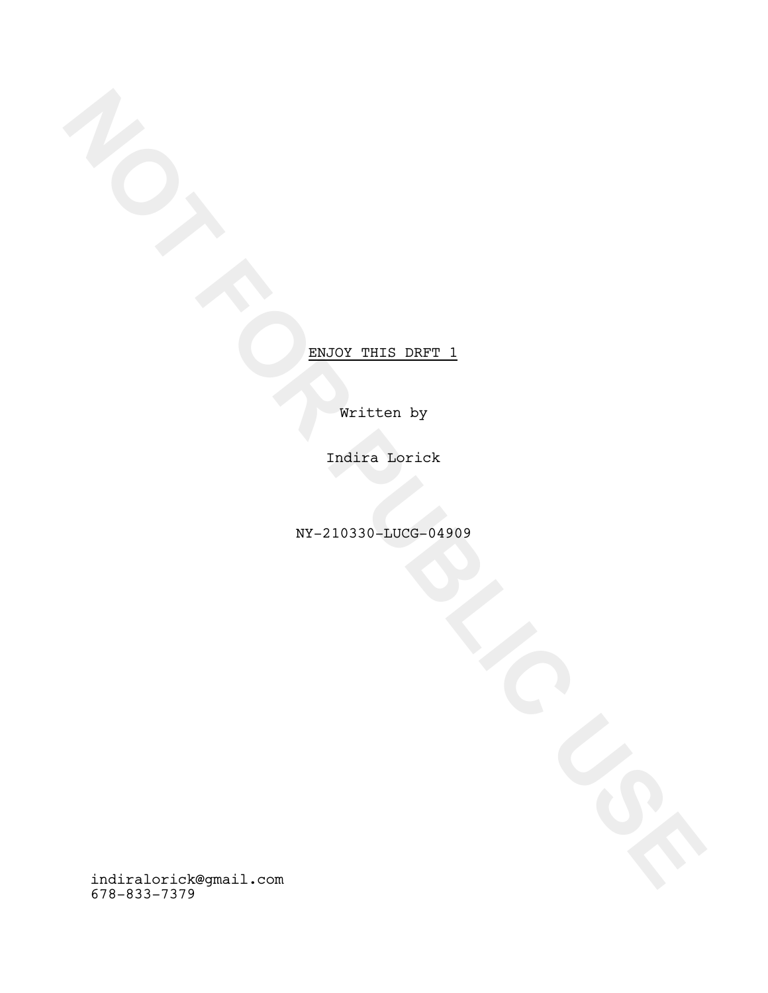Written by

Indira Lorick

NY-210330-LUCG-04909

NOT FOR PUBLIC PUBLIC PUBLIC PUBLIC PUBLIC PUBLIC PUBLIC PUBLIC PUBLIC PUBLIC PUBLIC PUBLIC PUBLIC PUBLIC PUBLIC PUBLIC PUBLIC PUBLIC PUBLIC PUBLIC PUBLIC PUBLIC PUBLIC PUBLIC PUBLIC PUBLIC PUBLIC PUBLIC PUBLIC PUBLIC PUBL indiralorick@gmail.com 678-833-7379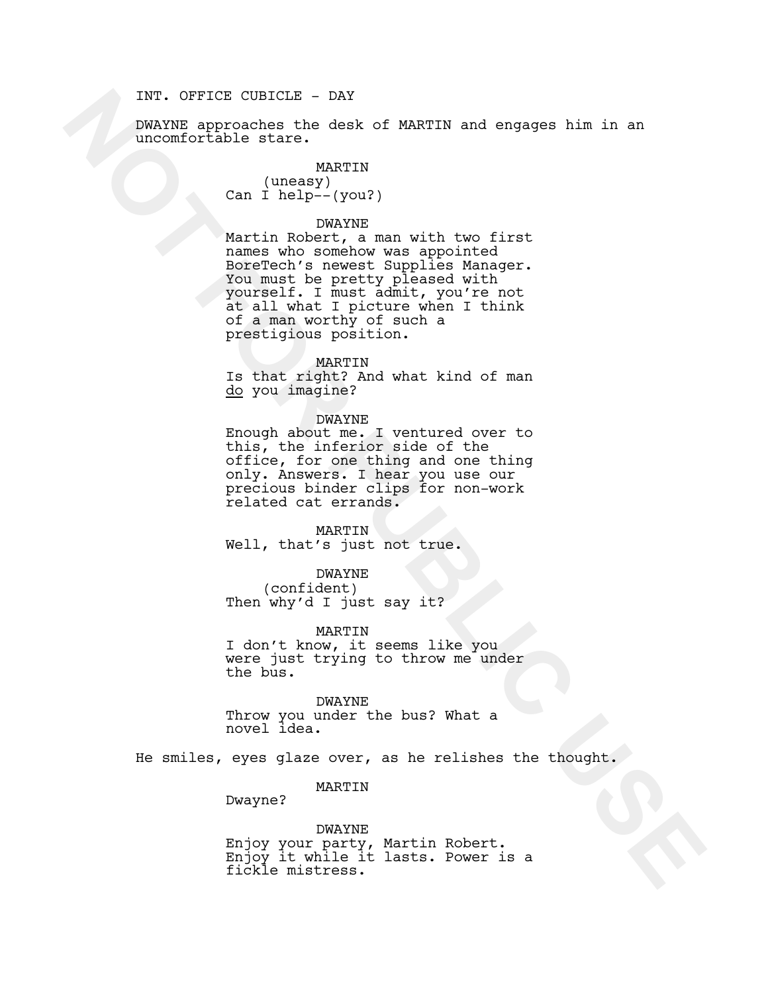# INT. OFFICE CUBICLE - DAY

DWAYNE approaches the desk of MARTIN and engages him in an uncomfortable stare.

# MARTIN

(uneasy) Can I help--(you?)

### DWAYNE

NOTE: CIRCITE INTERNATIONAL CONTENT CONTENT CONTENT CONTENT CONTENT CARRIED STATES (NOTE) We are the one of the mass of the state of the state of the state of the state of the state of the state of the state of the state o Martin Robert, a man with two first names who somehow was appointed BoreTech's newest Supplies Manager. You must be pretty pleased with yourself. I must admit, you're not at all what I picture when I think of a man worthy of such a prestigious position.

#### MARTIN

Is that right? And what kind of man do you imagine?

#### DWAYNE

Enough about me. I ventured over to this, the inferior side of the office, for one thing and one thing only. Answers. I hear you use our precious binder clips for non-work related cat errands.

# MARTIN

Well, that's just not true.

# DWAYNE

(confident) Then why'd I just say it?

MARTIN

I don't know, it seems like you were just trying to throw me under the bus.

DWAYNE Throw you under the bus? What a novel idea.

He smiles, eyes glaze over, as he relishes the thought.

MARTIN

Dwayne?

DWAYNE<br>Enjoy your party, Martin Robert. Enjoy it while it lasts. Power is a fickle mistress.